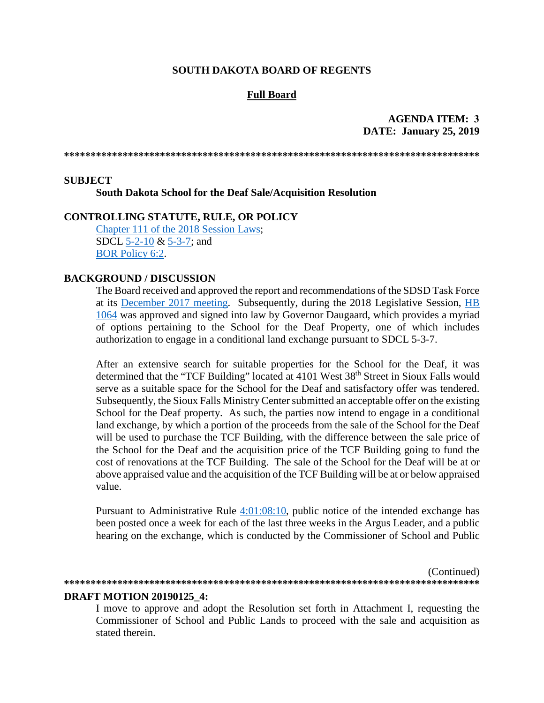## **SOUTH DAKOTA BOARD OF REGENTS**

# **Full Board**

# **AGENDA ITEM: 3 DATE: January 25, 2019**

### **SUBJECT**

#### **South Dakota School for the Deaf Sale/Acquisition Resolution**

## **CONTROLLING STATUTE, RULE, OR POLICY**

Chapter 111 of the 2018 Session Laws; SDCL  $5-2-10$  &  $5-3-7$ ; and **BOR Policy 6:2.** 

## **BACKGROUND / DISCUSSION**

The Board received and approved the report and recommendations of the SDSD Task Force at its December 2017 meeting. Subsequently, during the 2018 Legislative Session, HB 1064 was approved and signed into law by Governor Daugaard, which provides a myriad of options pertaining to the School for the Deaf Property, one of which includes authorization to engage in a conditional land exchange pursuant to SDCL 5-3-7.

After an extensive search for suitable properties for the School for the Deaf, it was determined that the "TCF Building" located at 4101 West 38<sup>th</sup> Street in Sioux Falls would serve as a suitable space for the School for the Deaf and satisfactory offer was tendered. Subsequently, the Sioux Falls Ministry Center submitted an acceptable offer on the existing School for the Deaf property. As such, the parties now intend to engage in a conditional land exchange, by which a portion of the proceeds from the sale of the School for the Deaf will be used to purchase the TCF Building, with the difference between the sale price of the School for the Deaf and the acquisition price of the TCF Building going to fund the cost of renovations at the TCF Building. The sale of the School for the Deaf will be at or above appraised value and the acquisition of the TCF Building will be at or below appraised value.

Pursuant to Administrative Rule  $4:01:08:10$ , public notice of the intended exchange has been posted once a week for each of the last three weeks in the Argus Leader, and a public hearing on the exchange, which is conducted by the Commissioner of School and Public

(Continued) 

#### **DRAFT MOTION 20190125 4:**

I move to approve and adopt the Resolution set forth in Attachment I, requesting the Commissioner of School and Public Lands to proceed with the sale and acquisition as stated therein.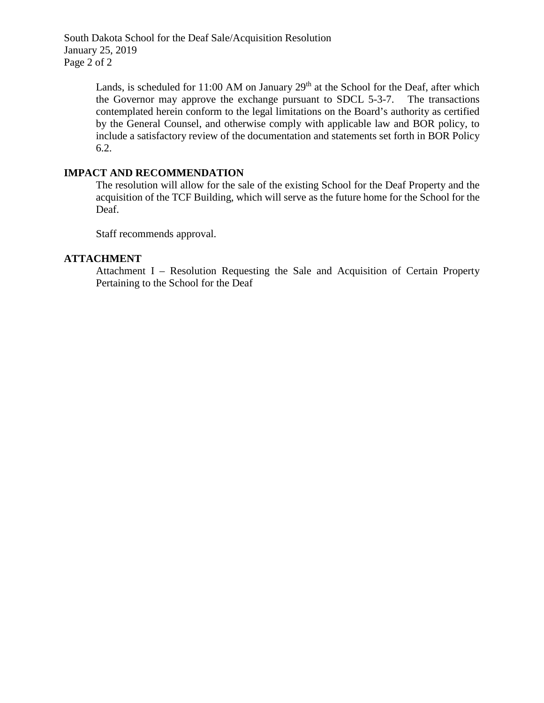South Dakota School for the Deaf Sale/Acquisition Resolution January 25, 2019 Page 2 of 2

> Lands, is scheduled for  $11:00$  AM on January  $29<sup>th</sup>$  at the School for the Deaf, after which the Governor may approve the exchange pursuant to SDCL 5-3-7. The transactions contemplated herein conform to the legal limitations on the Board's authority as certified by the General Counsel, and otherwise comply with applicable law and BOR policy, to include a satisfactory review of the documentation and statements set forth in BOR Policy 6.2.

# **IMPACT AND RECOMMENDATION**

The resolution will allow for the sale of the existing School for the Deaf Property and the acquisition of the TCF Building, which will serve as the future home for the School for the Deaf.

Staff recommends approval.

# **ATTACHMENT**

Attachment I – Resolution Requesting the Sale and Acquisition of Certain Property Pertaining to the School for the Deaf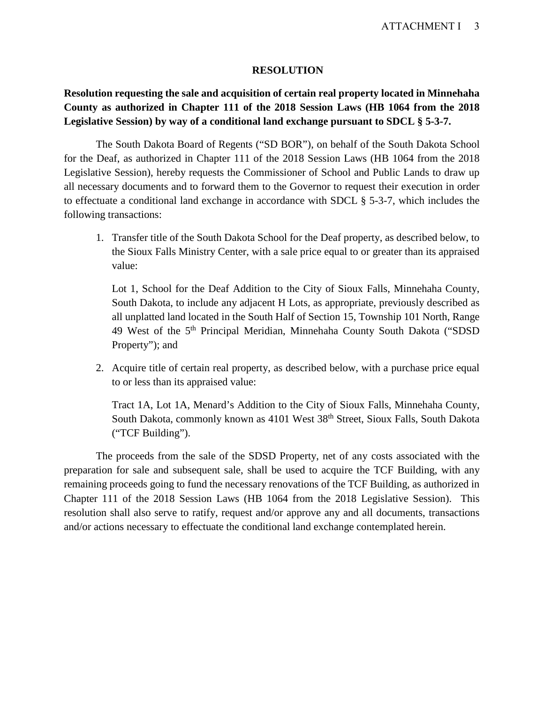## **RESOLUTION**

# **Resolution requesting the sale and acquisition of certain real property located in Minnehaha County as authorized in Chapter 111 of the 2018 Session Laws (HB 1064 from the 2018 Legislative Session) by way of a conditional land exchange pursuant to SDCL § 5-3-7.**

The South Dakota Board of Regents ("SD BOR"), on behalf of the South Dakota School for the Deaf, as authorized in Chapter 111 of the 2018 Session Laws (HB 1064 from the 2018 Legislative Session), hereby requests the Commissioner of School and Public Lands to draw up all necessary documents and to forward them to the Governor to request their execution in order to effectuate a conditional land exchange in accordance with SDCL § 5-3-7, which includes the following transactions:

1. Transfer title of the South Dakota School for the Deaf property, as described below, to the Sioux Falls Ministry Center, with a sale price equal to or greater than its appraised value:

Lot 1, School for the Deaf Addition to the City of Sioux Falls, Minnehaha County, South Dakota, to include any adjacent H Lots, as appropriate, previously described as all unplatted land located in the South Half of Section 15, Township 101 North, Range 49 West of the 5th Principal Meridian, Minnehaha County South Dakota ("SDSD Property"); and

2. Acquire title of certain real property, as described below, with a purchase price equal to or less than its appraised value:

Tract 1A, Lot 1A, Menard's Addition to the City of Sioux Falls, Minnehaha County, South Dakota, commonly known as 4101 West 38<sup>th</sup> Street, Sioux Falls, South Dakota ("TCF Building").

The proceeds from the sale of the SDSD Property, net of any costs associated with the preparation for sale and subsequent sale, shall be used to acquire the TCF Building, with any remaining proceeds going to fund the necessary renovations of the TCF Building, as authorized in Chapter 111 of the 2018 Session Laws (HB 1064 from the 2018 Legislative Session). This resolution shall also serve to ratify, request and/or approve any and all documents, transactions and/or actions necessary to effectuate the conditional land exchange contemplated herein.